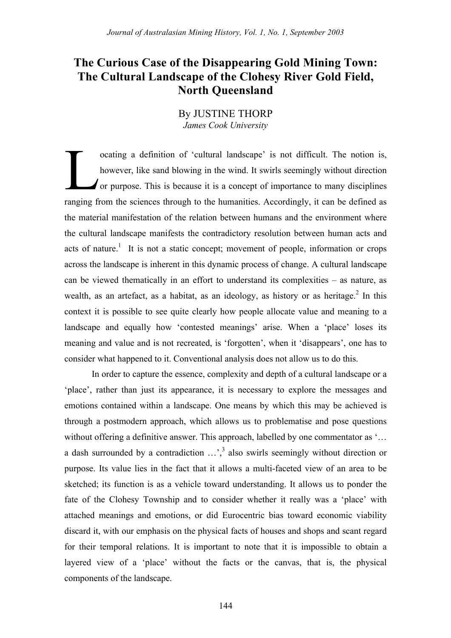# **The Curious Case of the Disappearing Gold Mining Town: The Cultural Landscape of the Clohesy River Gold Field, North Queensland**

# By JUSTINE THORP *James Cook University*

ocating a definition of 'cultural landscape' is not difficult. The notion is, however, like sand blowing in the wind. It swirls seemingly without direction or purpose. This is because it is a concept of importance to many disciplines ranging from the sciences through to the humanities. Accordingly, it can be defined as the material manifestation of the relation between humans and the environment where the cultural landscape manifests the contradictory resolution between human acts and acts of nature.<sup>1</sup> It is not a static concept; movement of people, information or crops across the landscape is inherent in this dynamic process of change. A cultural landscape can be viewed thematically in an effort to understand its complexities – as nature, as wealth, as an artefact, as a habitat, as an ideology, as history or as heritage.<sup>2</sup> In this context it is possible to see quite clearly how people allocate value and meaning to a landscape and equally how 'contested meanings' arise. When a 'place' loses its meaning and value and is not recreated, is 'forgotten', when it 'disappears', one has to consider what happened to it. Conventional analysis does not allow us to do this. L

In order to capture the essence, complexity and depth of a cultural landscape or a 'place', rather than just its appearance, it is necessary to explore the messages and emotions contained within a landscape. One means by which this may be achieved is through a postmodern approach, which allows us to problematise and pose questions without offering a definitive answer. This approach, labelled by one commentator as '... a dash surrounded by a contradiction  $\ldots$ ,<sup>3</sup> also swirls seemingly without direction or purpose. Its value lies in the fact that it allows a multi-faceted view of an area to be sketched; its function is as a vehicle toward understanding. It allows us to ponder the fate of the Clohesy Township and to consider whether it really was a 'place' with attached meanings and emotions, or did Eurocentric bias toward economic viability discard it, with our emphasis on the physical facts of houses and shops and scant regard for their temporal relations. It is important to note that it is impossible to obtain a layered view of a 'place' without the facts or the canvas, that is, the physical components of the landscape.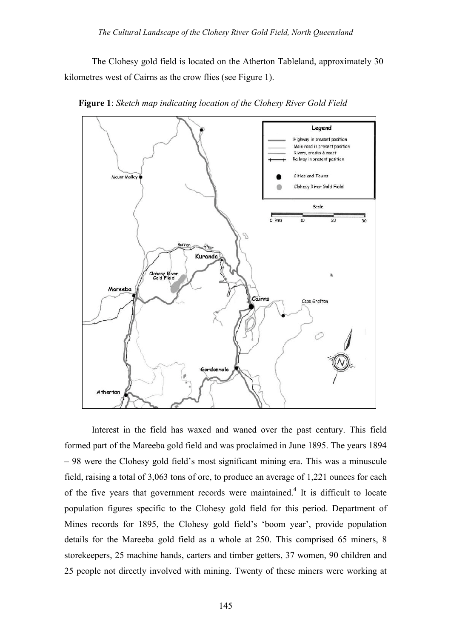The Clohesy gold field is located on the Atherton Tableland, approximately 30 kilometres west of Cairns as the crow flies (see Figure 1).



**Figure 1**: *Sketch map indicating location of the Clohesy River Gold Field*

Interest in the field has waxed and waned over the past century. This field formed part of the Mareeba gold field and was proclaimed in June 1895. The years 1894 – 98 were the Clohesy gold field's most significant mining era. This was a minuscule field, raising a total of 3,063 tons of ore, to produce an average of 1,221 ounces for each of the five years that government records were maintained.<sup>4</sup> It is difficult to locate population figures specific to the Clohesy gold field for this period. Department of Mines records for 1895, the Clohesy gold field's 'boom year', provide population details for the Mareeba gold field as a whole at 250. This comprised 65 miners, 8 storekeepers, 25 machine hands, carters and timber getters, 37 women, 90 children and 25 people not directly involved with mining. Twenty of these miners were working at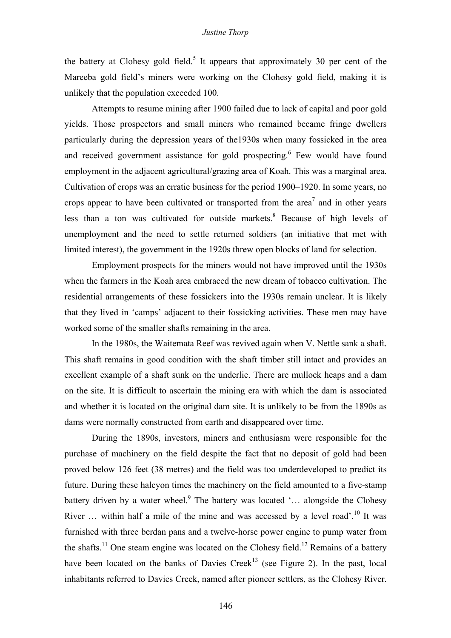## *Justine Thorp*

the battery at Clohesy gold field.<sup>5</sup> It appears that approximately 30 per cent of the Mareeba gold field's miners were working on the Clohesy gold field, making it is unlikely that the population exceeded 100.

Attempts to resume mining after 1900 failed due to lack of capital and poor gold yields. Those prospectors and small miners who remained became fringe dwellers particularly during the depression years of the1930s when many fossicked in the area and received government assistance for gold prospecting.<sup>6</sup> Few would have found employment in the adjacent agricultural/grazing area of Koah. This was a marginal area. Cultivation of crops was an erratic business for the period 1900–1920. In some years, no crops appear to have been cultivated or transported from the area<sup>7</sup> and in other years less than a ton was cultivated for outside markets.<sup>8</sup> Because of high levels of unemployment and the need to settle returned soldiers (an initiative that met with limited interest), the government in the 1920s threw open blocks of land for selection.

Employment prospects for the miners would not have improved until the 1930s when the farmers in the Koah area embraced the new dream of tobacco cultivation. The residential arrangements of these fossickers into the 1930s remain unclear. It is likely that they lived in 'camps' adjacent to their fossicking activities. These men may have worked some of the smaller shafts remaining in the area.

In the 1980s, the Waitemata Reef was revived again when V. Nettle sank a shaft. This shaft remains in good condition with the shaft timber still intact and provides an excellent example of a shaft sunk on the underlie. There are mullock heaps and a dam on the site. It is difficult to ascertain the mining era with which the dam is associated and whether it is located on the original dam site. It is unlikely to be from the 1890s as dams were normally constructed from earth and disappeared over time.

During the 1890s, investors, miners and enthusiasm were responsible for the purchase of machinery on the field despite the fact that no deposit of gold had been proved below 126 feet (38 metres) and the field was too underdeveloped to predict its future. During these halcyon times the machinery on the field amounted to a five-stamp battery driven by a water wheel.<sup>9</sup> The battery was located '... alongside the Clohesy River  $\ldots$  within half a mile of the mine and was accessed by a level road'.<sup>10</sup> It was furnished with three berdan pans and a twelve-horse power engine to pump water from the shafts.<sup>11</sup> One steam engine was located on the Clohesy field.<sup>12</sup> Remains of a battery have been located on the banks of Davies Creek<sup>13</sup> (see Figure 2). In the past, local inhabitants referred to Davies Creek, named after pioneer settlers, as the Clohesy River.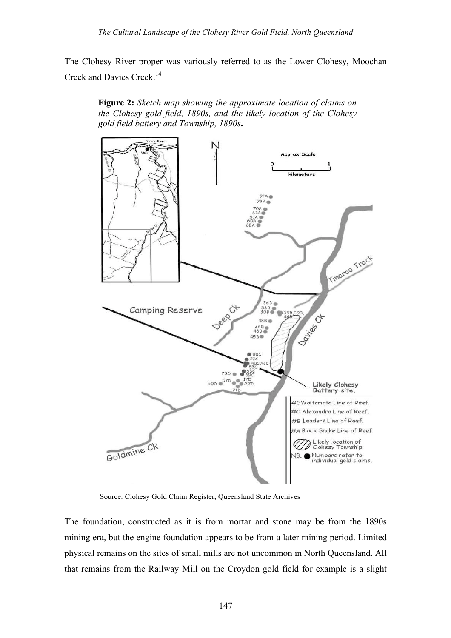The Clohesy River proper was variously referred to as the Lower Clohesy, Moochan Creek and Davies Creek.<sup>14</sup>





Source: Clohesy Gold Claim Register, Queensland State Archives

The foundation, constructed as it is from mortar and stone may be from the 1890s mining era, but the engine foundation appears to be from a later mining period. Limited physical remains on the sites of small mills are not uncommon in North Queensland. All that remains from the Railway Mill on the Croydon gold field for example is a slight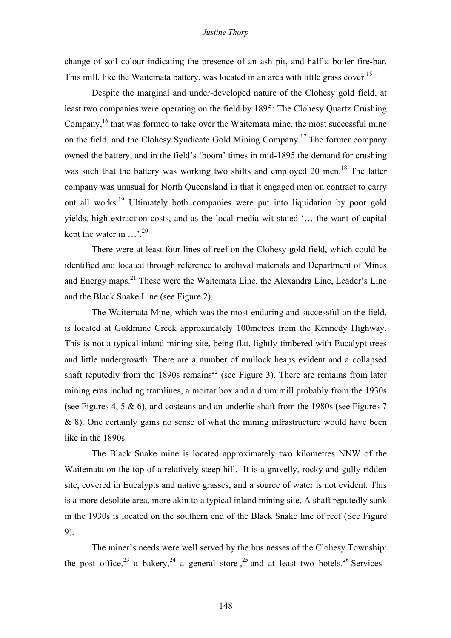change of soil colour indicating the presence of an ash pit, and half a boiler fire-bar. This mill, like the Waitemata battery, was located in an area with little grass cover.<sup>15</sup>

Despite the marginal and under-developed nature of the Clohesy gold field, at least two companies were operating on the field by 1895: The Clohesy Quartz Crushing Company,  $16$  that was formed to take over the Waitemata mine, the most successful mine on the field, and the Clohesy Syndicate Gold Mining Company.17 The former company owned the battery, and in the field's 'boom' times in mid-1895 the demand for crushing was such that the battery was working two shifts and employed 20 men.<sup>18</sup> The latter company was unusual for North Queensland in that it engaged men on contract to carry out all works.<sup>19</sup> Ultimately both companies were put into liquidation by poor gold yields, high extraction costs, and as the local media wit stated '… the want of capital kept the water in  $\ldots$ <sup>20</sup>

There were at least four lines of reef on the Clohesy gold field, which could be identified and located through reference to archival materials and Department of Mines and Energy maps.<sup>21</sup> These were the Waitemata Line, the Alexandra Line, Leader's Line and the Black Snake Line (see Figure 2).

The Waitemata Mine, which was the most enduring and successful on the field, is located at Goldmine Creek approximately 100metres from the Kennedy Highway. This is not a typical inland mining site, being flat, lightly timbered with Eucalypt trees and little undergrowth. There are a number of mullock heaps evident and a collapsed shaft reputedly from the 1890s remains<sup>22</sup> (see Figure 3). There are remains from later mining eras including tramlines, a mortar box and a drum mill probably from the 1930s (see Figures 4, 5 & 6), and costeans and an underlie shaft from the 1980s (see Figures 7 & 8). One certainly gains no sense of what the mining infrastructure would have been like in the 1890s.

The Black Snake mine is located approximately two kilometres NNW of the Waitemata on the top of a relatively steep hill. It is a gravelly, rocky and gully-ridden site, covered in Eucalypts and native grasses, and a source of water is not evident. This is a more desolate area, more akin to a typical inland mining site. A shaft reputedly sunk in the 1930s is located on the southern end of the Black Snake line of reef (See Figure 9).

The miner's needs were well served by the businesses of the Clohesy Township: the post office,<sup>23</sup> a bakery,<sup>24</sup> a general store,<sup>25</sup> and at least two hotels.<sup>26</sup> Services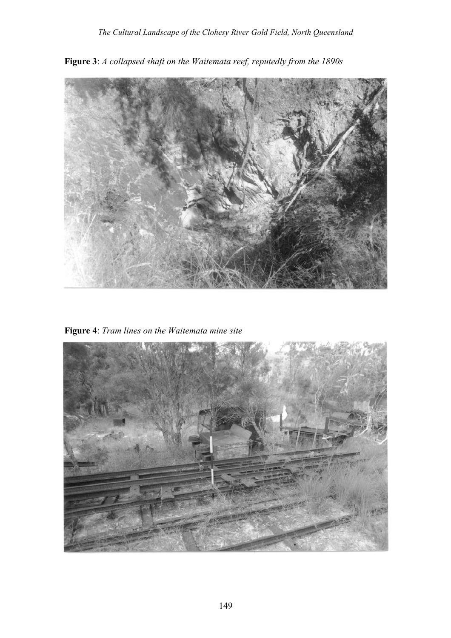

**Figure 3**: *A collapsed shaft on the Waitemata reef, reputedly from the 1890s*

**Figure 4**: *Tram lines on the Waitemata mine site*

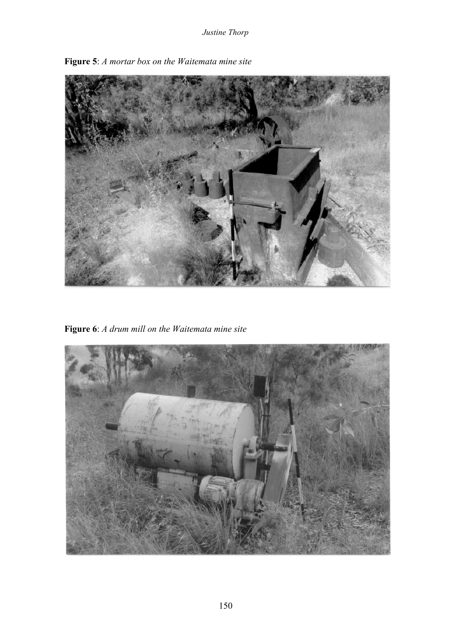

**Figure 5**: *A mortar box on the Waitemata mine site*

**Figure 6**: *A drum mill on the Waitemata mine site*

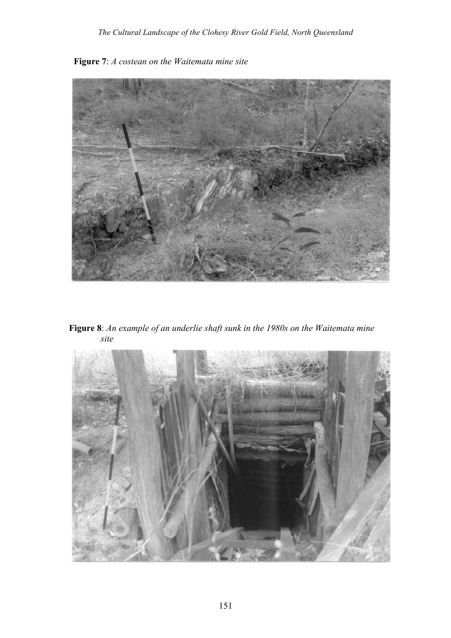

 **Figure 7**: *A costean on the Waitemata mine site*

 **Figure 8**: *An example of an underlie shaft sunk in the 1980s on the Waitemata mine site*

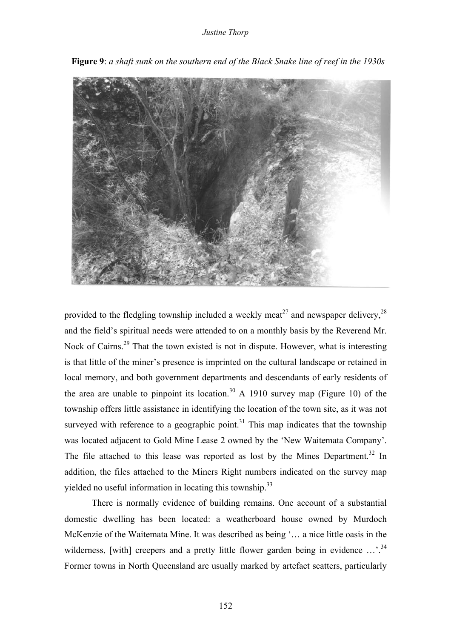

**Figure 9**: *a shaft sunk on the southern end of the Black Snake line of reef in the 1930s*

provided to the fledgling township included a weekly meat<sup>27</sup> and newspaper delivery,  $2<sup>8</sup>$ and the field's spiritual needs were attended to on a monthly basis by the Reverend Mr. Nock of Cairns.<sup>29</sup> That the town existed is not in dispute. However, what is interesting is that little of the miner's presence is imprinted on the cultural landscape or retained in local memory, and both government departments and descendants of early residents of the area are unable to pinpoint its location.<sup>30</sup> A 1910 survey map (Figure 10) of the township offers little assistance in identifying the location of the town site, as it was not surveyed with reference to a geographic point.<sup>31</sup> This map indicates that the township was located adjacent to Gold Mine Lease 2 owned by the 'New Waitemata Company'. The file attached to this lease was reported as lost by the Mines Department.<sup>32</sup> In addition, the files attached to the Miners Right numbers indicated on the survey map yielded no useful information in locating this township.<sup>33</sup>

There is normally evidence of building remains. One account of a substantial domestic dwelling has been located: a weatherboard house owned by Murdoch McKenzie of the Waitemata Mine. It was described as being '… a nice little oasis in the wilderness, [with] creepers and a pretty little flower garden being in evidence ...<sup>34</sup> Former towns in North Queensland are usually marked by artefact scatters, particularly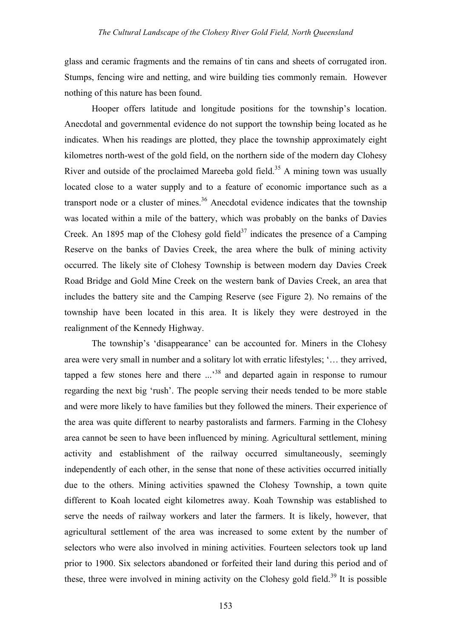glass and ceramic fragments and the remains of tin cans and sheets of corrugated iron. Stumps, fencing wire and netting, and wire building ties commonly remain. However nothing of this nature has been found.

Hooper offers latitude and longitude positions for the township's location. Anecdotal and governmental evidence do not support the township being located as he indicates. When his readings are plotted, they place the township approximately eight kilometres north-west of the gold field, on the northern side of the modern day Clohesy River and outside of the proclaimed Mareeba gold field.<sup>35</sup> A mining town was usually located close to a water supply and to a feature of economic importance such as a transport node or a cluster of mines.<sup>36</sup> Anecdotal evidence indicates that the township was located within a mile of the battery, which was probably on the banks of Davies Creek. An 1895 map of the Clohesy gold field<sup>37</sup> indicates the presence of a Camping Reserve on the banks of Davies Creek, the area where the bulk of mining activity occurred. The likely site of Clohesy Township is between modern day Davies Creek Road Bridge and Gold Mine Creek on the western bank of Davies Creek, an area that includes the battery site and the Camping Reserve (see Figure 2). No remains of the township have been located in this area. It is likely they were destroyed in the realignment of the Kennedy Highway.

The township's 'disappearance' can be accounted for. Miners in the Clohesy area were very small in number and a solitary lot with erratic lifestyles; '… they arrived, tapped a few stones here and there  $\ldots$ <sup>38</sup> and departed again in response to rumour regarding the next big 'rush'. The people serving their needs tended to be more stable and were more likely to have families but they followed the miners. Their experience of the area was quite different to nearby pastoralists and farmers. Farming in the Clohesy area cannot be seen to have been influenced by mining. Agricultural settlement, mining activity and establishment of the railway occurred simultaneously, seemingly independently of each other, in the sense that none of these activities occurred initially due to the others. Mining activities spawned the Clohesy Township, a town quite different to Koah located eight kilometres away. Koah Township was established to serve the needs of railway workers and later the farmers. It is likely, however, that agricultural settlement of the area was increased to some extent by the number of selectors who were also involved in mining activities. Fourteen selectors took up land prior to 1900. Six selectors abandoned or forfeited their land during this period and of these, three were involved in mining activity on the Clohesy gold field.<sup>39</sup> It is possible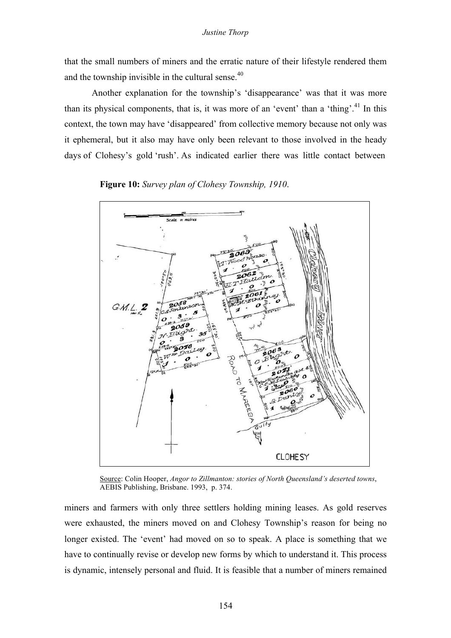that the small numbers of miners and the erratic nature of their lifestyle rendered them and the township invisible in the cultural sense.<sup>40</sup>

Another explanation for the township's 'disappearance' was that it was more than its physical components, that is, it was more of an 'event' than a 'thing'.<sup>41</sup> In this context, the town may have 'disappeared' from collective memory because not only was it ephemeral, but it also may have only been relevant to those involved in the heady days of Clohesy's gold 'rush'. As indicated earlier there was little contact between

 $G.M.L.2$ RoAD O TO MARE **CLOHESY** 

**Figure 10:** *Survey plan of Clohesy Township, 1910*.

Source: Colin Hooper, *Angor to Zillmanton: stories of North Queensland's deserted towns*, AEBIS Publishing, Brisbane. 1993, p. 374.

miners and farmers with only three settlers holding mining leases. As gold reserves were exhausted, the miners moved on and Clohesy Township's reason for being no longer existed. The 'event' had moved on so to speak. A place is something that we have to continually revise or develop new forms by which to understand it. This process is dynamic, intensely personal and fluid. It is feasible that a number of miners remained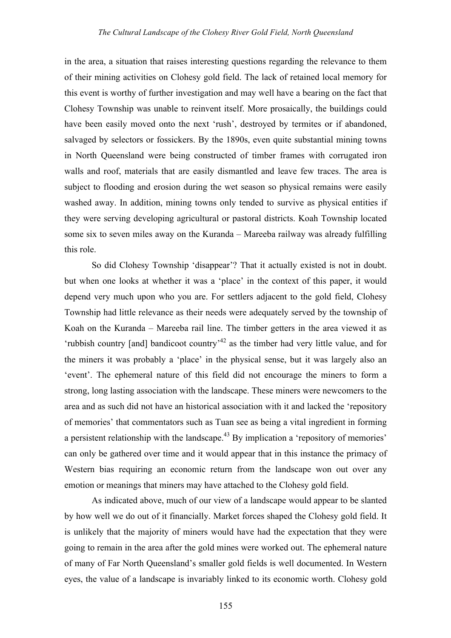in the area, a situation that raises interesting questions regarding the relevance to them of their mining activities on Clohesy gold field. The lack of retained local memory for this event is worthy of further investigation and may well have a bearing on the fact that Clohesy Township was unable to reinvent itself. More prosaically, the buildings could have been easily moved onto the next 'rush', destroyed by termites or if abandoned, salvaged by selectors or fossickers. By the 1890s, even quite substantial mining towns in North Queensland were being constructed of timber frames with corrugated iron walls and roof, materials that are easily dismantled and leave few traces. The area is subject to flooding and erosion during the wet season so physical remains were easily washed away. In addition, mining towns only tended to survive as physical entities if they were serving developing agricultural or pastoral districts. Koah Township located some six to seven miles away on the Kuranda – Mareeba railway was already fulfilling this role.

So did Clohesy Township 'disappear'? That it actually existed is not in doubt. but when one looks at whether it was a 'place' in the context of this paper, it would depend very much upon who you are. For settlers adjacent to the gold field, Clohesy Township had little relevance as their needs were adequately served by the township of Koah on the Kuranda – Mareeba rail line. The timber getters in the area viewed it as 'rubbish country [and] bandicoot country<sup> $142$ </sup> as the timber had very little value, and for the miners it was probably a 'place' in the physical sense, but it was largely also an 'event'. The ephemeral nature of this field did not encourage the miners to form a strong, long lasting association with the landscape. These miners were newcomers to the area and as such did not have an historical association with it and lacked the 'repository of memories' that commentators such as Tuan see as being a vital ingredient in forming a persistent relationship with the landscape.<sup>43</sup> By implication a 'repository of memories' can only be gathered over time and it would appear that in this instance the primacy of Western bias requiring an economic return from the landscape won out over any emotion or meanings that miners may have attached to the Clohesy gold field.

As indicated above, much of our view of a landscape would appear to be slanted by how well we do out of it financially. Market forces shaped the Clohesy gold field. It is unlikely that the majority of miners would have had the expectation that they were going to remain in the area after the gold mines were worked out. The ephemeral nature of many of Far North Queensland's smaller gold fields is well documented. In Western eyes, the value of a landscape is invariably linked to its economic worth. Clohesy gold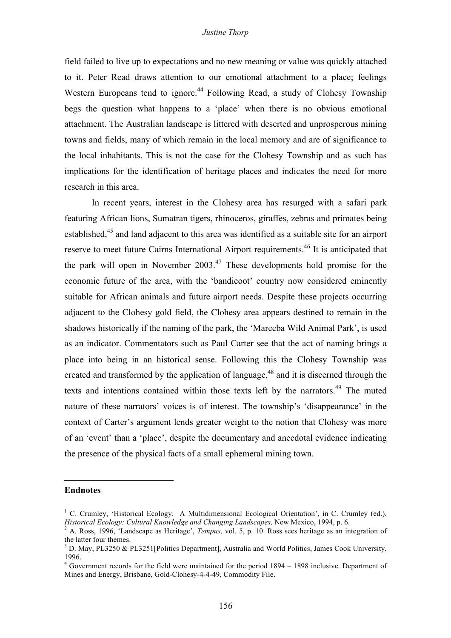### *Justine Thorp*

field failed to live up to expectations and no new meaning or value was quickly attached to it. Peter Read draws attention to our emotional attachment to a place; feelings Western Europeans tend to ignore.<sup>44</sup> Following Read, a study of Clohesy Township begs the question what happens to a 'place' when there is no obvious emotional attachment. The Australian landscape is littered with deserted and unprosperous mining towns and fields, many of which remain in the local memory and are of significance to the local inhabitants. This is not the case for the Clohesy Township and as such has implications for the identification of heritage places and indicates the need for more research in this area.

In recent years, interest in the Clohesy area has resurged with a safari park featuring African lions, Sumatran tigers, rhinoceros, giraffes, zebras and primates being established,<sup>45</sup> and land adjacent to this area was identified as a suitable site for an airport reserve to meet future Cairns International Airport requirements.<sup>46</sup> It is anticipated that the park will open in November 2003.<sup>47</sup> These developments hold promise for the economic future of the area, with the 'bandicoot' country now considered eminently suitable for African animals and future airport needs. Despite these projects occurring adjacent to the Clohesy gold field, the Clohesy area appears destined to remain in the shadows historically if the naming of the park, the 'Mareeba Wild Animal Park', is used as an indicator. Commentators such as Paul Carter see that the act of naming brings a place into being in an historical sense. Following this the Clohesy Township was created and transformed by the application of language, $48$  and it is discerned through the texts and intentions contained within those texts left by the narrators.<sup>49</sup> The muted nature of these narrators' voices is of interest. The township's 'disappearance' in the context of Carter's argument lends greater weight to the notion that Clohesy was more of an 'event' than a 'place', despite the documentary and anecdotal evidence indicating the presence of the physical facts of a small ephemeral mining town.

### **Endnotes**

 $\overline{a}$ 

<sup>&</sup>lt;sup>1</sup> C. Crumley, 'Historical Ecology. A Multidimensional Ecological Orientation', in C. Crumley (ed.), *Historical Ecology: Cultural Knowledge and Changing Landscapes*, New Mexico, 1994, p. 6.

<sup>&</sup>lt;sup>2</sup> A. Ross, 1996, Landscape as Heritage', Tempus, vol. 5, p. 10. Ross sees heritage as an integration of the latter four themes.<br><sup>3</sup> D. May, PL3250 & PL3251[Politics Department], Australia and World Politics, James Cook University,

<sup>1996.</sup> <sup>4</sup> Government records for the field were maintained for the period <sup>1894</sup> – <sup>1898</sup> inclusive. Department of

Mines and Energy, Brisbane, Gold-Clohesy-4-4-49, Commodity File.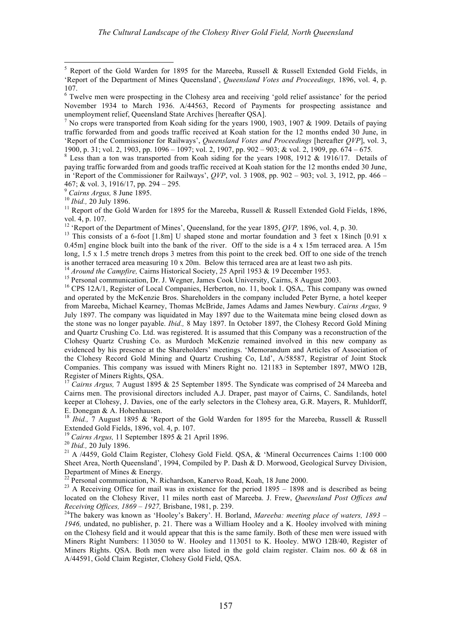467; & vol. 3, 1916/17, pp. 294 – 295.<br><sup>9</sup> *Cairns Argus*, 8 June 1895.<br><sup>10</sup> *Ibid.*, 20 July 1896.<br><sup>11</sup> Report of the Gold Warden for 1895 for the Mareeba, Russell & Russell Extended Gold Fields, 1896, vol. 4, p. 107.<br><sup>12</sup> 'Report of the Department of Mines', Queensland, for the year 1895, *QVP*, 1896, vol. 4, p. 30.<br><sup>13</sup> This consists of a 6-foot [1.8m] U shaped stone and mortar foundation and 3 feet x 18inch [0.91 x

0.45m] engine block built into the bank of the river. Off to the side is a 4 x 15m terraced area. A 15m long, 1.5 x 1.5 metre trench drops 3 metres from this point to the creek bed. Off to one side of the trench is another terraced area measuring  $10 \times 20$ m. Below this terraced area are at least two ash pits.<br><sup>14</sup> *Around the Campfire*, Cairns Historical Society, 25 April 1953 & 19 December 1953.<br><sup>15</sup> Personal communication, Dr.

and operated by the McKenzie Bros. Shareholders in the company included Peter Byrne, a hotel keeper from Mareeba, Michael Kearney, Thomas McBride, James Adams and James Newbury. *Cairns Argus,* 9 July 1897. The company was liquidated in May 1897 due to the Waitemata mine being closed down as the stone was no longer payable. *Ibid.,* 8 May 1897. In October 1897, the Clohesy Record Gold Mining and Quartz Crushing Co. Ltd. was registered. It is assumed that this Company was a reconstruction of the Clohesy Quartz Crushing Co. as Murdoch McKenzie remained involved in this new company as evidenced by his presence at the Shareholders' meetings. 'Memorandum and Articles of Association of the Clohesy Record Gold Mining and Quartz Crushing Co, Ltd', A/58587, Registrar of Joint Stock Companies. This company was issued with Miners Right no. 121183 in September 1897, MWO 12B,

<sup>17</sup> *Cairns Argus,* 7 August 1895 & 25 September 1895. The Syndicate was comprised of 24 Mareeba and Cairns men. The provisional directors included A.J. Draper, past mayor of Cairns, C. Sandilands, hotel keeper at Clohesy, J. Davies, one of the early selectors in the Clohesy area, G.R. Mayers, R. Muhldorff,

E. Donegan & A. Hohenhausen.<br><sup>18</sup> *Ibid.*, 7 August 1895 & 'Report of the Gold Warden for 1895 for the Mareeba, Russell & Russell Extended Gold Fields, 1896, vol. 4, p. 107.

<sup>19</sup> Cairns Argus, 11 September 1895 & 21 April 1896.<br>
<sup>20</sup> Ibid., 20 July 1896.<br>
<sup>21</sup> A /4459, Gold Claim Register, Clohesy Gold Field. QSA, & 'Mineral Occurrences Cairns 1:100 000 Sheet Area, North Queensland', 1994, Compiled by P. Dash & D. Morwood, Geological Survey Division,

Department of Mines & Energy.<br><sup>22</sup> Personal communication, N. Richardson, Kanervo Road, Koah, 18 June 2000.<br><sup>23</sup> A Receiving Office for mail was in existence for the period 1895 – 1898 and is described as being located on the Clohesy River, 11 miles north east of Mareeba. J. Frew, *Queensland Post Offices and*

Receiving Offices, 1869 – 1927, Brisbane, 1981, p. 239.<br><sup>24</sup>The bakery was known as 'Hooley's Bakery'. H. Borland, *Mareeba: meeting place of waters, 1893* – *1946,* undated, no publisher, p. 21. There was a William Hooley and a K. Hooley involved with mining on the Clohesy field and it would appear that this is the same family. Both of these men were issued with Miners Right Numbers: 113050 to W. Hooley and 113051 to K. Hooley. MWO 12B/40, Register of Miners Rights. QSA. Both men were also listed in the gold claim register. Claim nos. 60 & 68 in A/44591, Gold Claim Register, Clohesy Gold Field, QSA.

<sup>&</sup>lt;sup>5</sup> Report of the Gold Warden for 1895 for the Mareeba, Russell & Russell Extended Gold Fields, in 'Report of the Department of Mines Queensland', *Queensland Votes and Proceedings,* 1896, vol. 4, p. 107.<br> $\frac{107}{3}$  Twelve men were prospecting in the Clohesy area and receiving 'gold relief assistance' for the period

November 1934 to March 1936. A/44563, Record of Payments for prospecting assistance and

unemployment relief, Queensland State Archives [hereafter QSA].<br><sup>7</sup> No crops were transported from Koah siding for the years 1900, 1903, 1907 & 1909. Details of paying traffic forwarded from and goods traffic received at Koah station for the 12 months ended 30 June, in 'Report of the Commissioner for Railways', *Queensland Votes and Proceedings* [hereafter *QVP*], vol. 3,

<sup>1900,</sup> p. 31; vol. 2, 1903, pp. <sup>1096</sup> – 1097; vol. 2, 1907, pp. <sup>902</sup> – 903; & vol. 2, 1909, pp. <sup>674</sup> – <sup>675</sup>*.* <sup>8</sup> Less than <sup>a</sup> ton was transported from Koah siding for the years 1908, <sup>1912</sup> & 1916/17. Details of paying traffic forwarded from and goods traffic received at Koah station for the 12 months ended 30 June, in 'Report of the Commissioner for Railways', *QVP*, vol. 3 1908, pp. 902 – 903; vol. 3, 1912, pp. 466 –